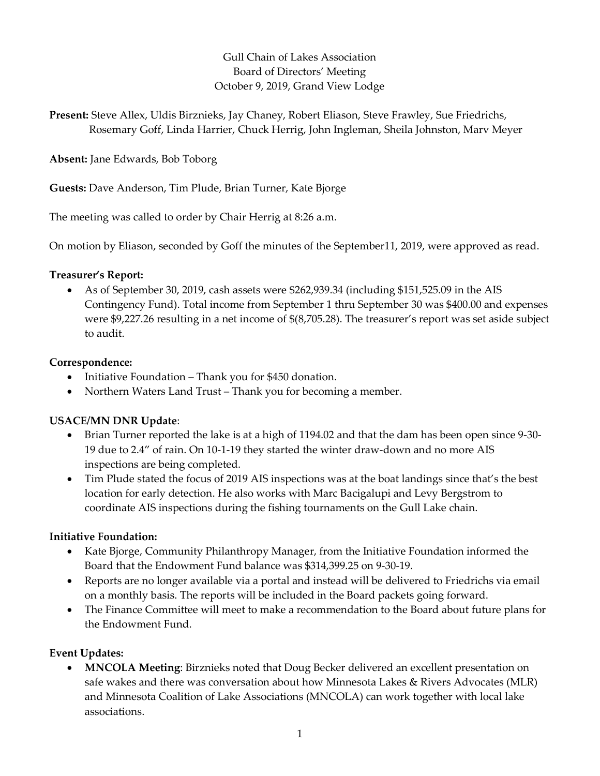## Gull Chain of Lakes Association Board of Directors' Meeting October 9, 2019, Grand View Lodge

Present: Steve Allex, Uldis Birznieks, Jay Chaney, Robert Eliason, Steve Frawley, Sue Friedrichs, Rosemary Goff, Linda Harrier, Chuck Herrig, John Ingleman, Sheila Johnston, Marv Meyer

Absent: Jane Edwards, Bob Toborg

Guests: Dave Anderson, Tim Plude, Brian Turner, Kate Bjorge

The meeting was called to order by Chair Herrig at 8:26 a.m.

On motion by Eliason, seconded by Goff the minutes of the September11, 2019, were approved as read.

#### Treasurer's Report:

 As of September 30, 2019, cash assets were \$262,939.34 (including \$151,525.09 in the AIS Contingency Fund). Total income from September 1 thru September 30 was \$400.00 and expenses were \$9,227.26 resulting in a net income of \$(8,705.28). The treasurer's report was set aside subject to audit.

### Correspondence:

- Initiative Foundation Thank you for \$450 donation.
- Northern Waters Land Trust Thank you for becoming a member.

# USACE/MN DNR Update:

- Brian Turner reported the lake is at a high of 1194.02 and that the dam has been open since 9-30- 19 due to 2.4" of rain. On 10-1-19 they started the winter draw-down and no more AIS inspections are being completed.
- Tim Plude stated the focus of 2019 AIS inspections was at the boat landings since that's the best location for early detection. He also works with Marc Bacigalupi and Levy Bergstrom to coordinate AIS inspections during the fishing tournaments on the Gull Lake chain.

#### Initiative Foundation:

- Kate Bjorge, Community Philanthropy Manager, from the Initiative Foundation informed the Board that the Endowment Fund balance was \$314,399.25 on 9-30-19.
- Reports are no longer available via a portal and instead will be delivered to Friedrichs via email on a monthly basis. The reports will be included in the Board packets going forward.
- The Finance Committee will meet to make a recommendation to the Board about future plans for the Endowment Fund.

# Event Updates:

 MNCOLA Meeting: Birznieks noted that Doug Becker delivered an excellent presentation on safe wakes and there was conversation about how Minnesota Lakes & Rivers Advocates (MLR) and Minnesota Coalition of Lake Associations (MNCOLA) can work together with local lake associations.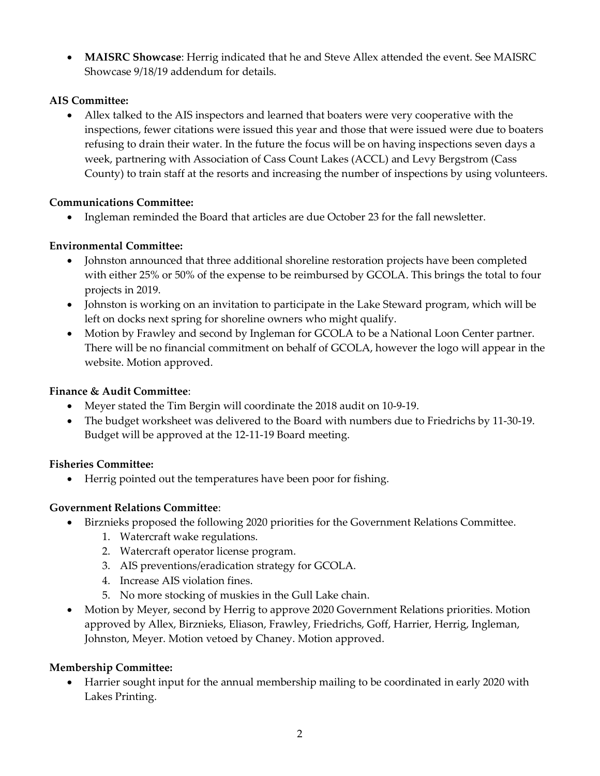MAISRC Showcase: Herrig indicated that he and Steve Allex attended the event. See MAISRC Showcase 9/18/19 addendum for details.

### AIS Committee:

 Allex talked to the AIS inspectors and learned that boaters were very cooperative with the inspections, fewer citations were issued this year and those that were issued were due to boaters refusing to drain their water. In the future the focus will be on having inspections seven days a week, partnering with Association of Cass Count Lakes (ACCL) and Levy Bergstrom (Cass County) to train staff at the resorts and increasing the number of inspections by using volunteers.

# Communications Committee:

Ingleman reminded the Board that articles are due October 23 for the fall newsletter.

### Environmental Committee:

- Johnston announced that three additional shoreline restoration projects have been completed with either 25% or 50% of the expense to be reimbursed by GCOLA. This brings the total to four projects in 2019.
- Johnston is working on an invitation to participate in the Lake Steward program, which will be left on docks next spring for shoreline owners who might qualify.
- Motion by Frawley and second by Ingleman for GCOLA to be a National Loon Center partner. There will be no financial commitment on behalf of GCOLA, however the logo will appear in the website. Motion approved.

#### Finance & Audit Committee:

- Meyer stated the Tim Bergin will coordinate the 2018 audit on 10-9-19.
- The budget worksheet was delivered to the Board with numbers due to Friedrichs by 11-30-19. Budget will be approved at the 12-11-19 Board meeting.

# Fisheries Committee:

Herrig pointed out the temperatures have been poor for fishing.

# Government Relations Committee:

- Birznieks proposed the following 2020 priorities for the Government Relations Committee.
	- 1. Watercraft wake regulations.
	- 2. Watercraft operator license program.
	- 3. AIS preventions/eradication strategy for GCOLA.
	- 4. Increase AIS violation fines.
	- 5. No more stocking of muskies in the Gull Lake chain.
- Motion by Meyer, second by Herrig to approve 2020 Government Relations priorities. Motion approved by Allex, Birznieks, Eliason, Frawley, Friedrichs, Goff, Harrier, Herrig, Ingleman, Johnston, Meyer. Motion vetoed by Chaney. Motion approved.

# Membership Committee:

 Harrier sought input for the annual membership mailing to be coordinated in early 2020 with Lakes Printing.